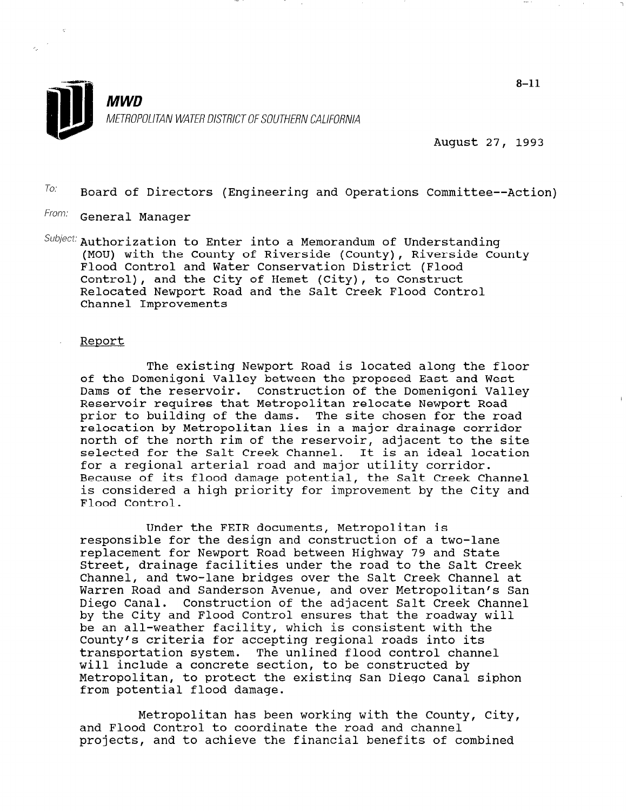

August 27, 1993

 $T$ <sup>O:</sup> Board of Directors (Engineering and Operations Committee--Action)

- From: General Manager
- $Subject:$  Authorization to Enter into a Memorandum of Understanding (MOU) with the County of Riverside (County), Riverside County Flood Control and Water Conservation District (Flood Control), and the City of Hemet (City), to Construct Relocated Newport Road and the Salt Creek Flood Control Channel Improvements

## Report

The existing Newport Road is located along the floor of the Domenigoni Valley between the proposed East and West Dams of the reservoir. Construction of the Domenigoni Valley Reservoir requires that Metropolitan relocate Newport Road prior to building of the dams. The site chosen for the road relocation by Metropolitan lies in a major drainage corridor north of the north rim of the reservoir, adjacent to the site selected for the Salt Creek Channel. It is an ideal location for a regional arterial road and major utility corridor. Because of its flood damage potential, the Salt Creek Channel is considered a high priority for improvement by the City and Flood Control.

Under the FEIR documents, Metropolitan is responsible for the design and construction of a two-lane replacement for Newport Road between Highway 79 and State Street, drainage facilities under the road to the Salt Creek Channel, and two-lane bridges over the Salt Creek Channel at Warren Road and Sanderson Avenue, and over Metropolitan's San Warren Road and Sanderson Avenue, and over Metropolitan's San<br>Diego Canal. Construction of the adjacent Salt Creek Channel by the City and Flood Control ensures that the roadway will by the tity and riood control ensures that the roadway with De an all-weather racifity, which is consistent with t County's criteria for accepting regional roads into its<br>transportation system. The unlined flood control channel cransportation system. The unfined flood control cha witt findfude a conditive Section, to be constructed by Metropolitan, to protect the existing San Diego Canal siphon from potential flood damage.

Metropolitan has been working with the County, City, and Flood Control to coordinate the road and channel projects, and to achieve the financial benefits of combined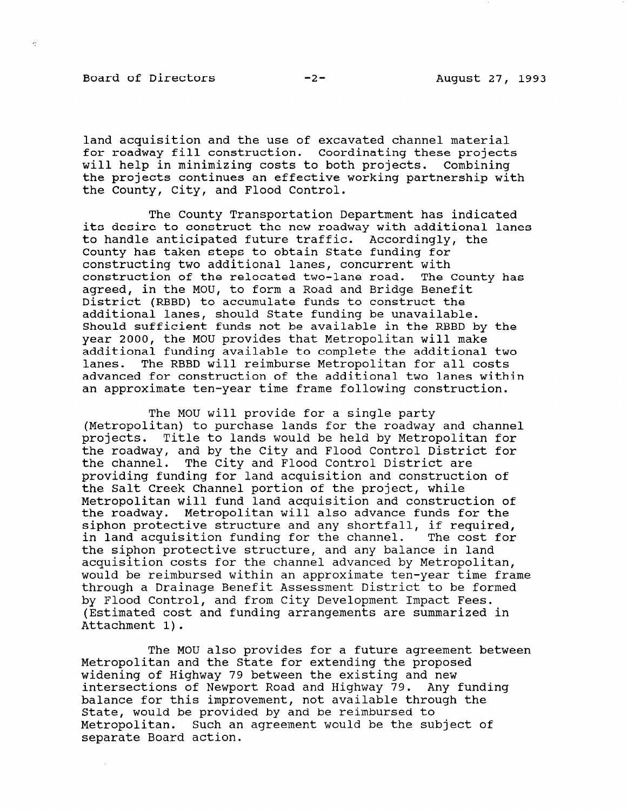Board of Directors -2- August 27, 1993

land acquisition and the use of excavated channel material for roadway fill construction. Coordinating these projects will help in minimizing costs to both projects. Combining the projects continues an effective working partnership with the County, City, and Flood Control.

The County Transportation Department has indicated its desire to construct the new roadway with additional lanes to handle anticipated future traffic. Accordingly, the County has taken steps to obtain State funding for constructing two additional lanes, concurrent with construction of the relocated two-lane road. The County has agreed, in the MOU, to form a Road and Bridge Benefit District (RBBD) to accumulate funds to construct the additional lanes, should State funding be unavailable. Should sufficient funds not be available in the RBBD by the year 2000, the MOU provides that Metropolitan will make additional funding available to complete the additional two lanes. The RBBD will reimburse Metropolitan for all costs advanced for construction of the additional two lanes within an approximate ten-year time frame following construction.

The MOU will provide for a single party (Metropolitan) to purchase lands for the roadway and channel projects. Title to lands would be held by Metropolitan for the roadway, and by the City and Flood Control District for the channel. The City and Flood Control District are providing funding for land acquisition and construction of the Salt Creek Channel portion of the project, while Metropolitan will fund land acquisition and construction of the roadway. Metropolitan will also advance funds for the che roadway. Hecroportican with also advance funds for the in land acquisition funding for the channel. The cost for in land acquisition funding for the channel. The cost for<br>the siphon protective structure, and any balance in land acquisition costs for the channel advanced by Metropolitan, would be reimbursed within an approximate ten-year time frame through a Drainage Benefit Assessment District to be formed by Flood Control, and from City Development Impact Fees. (Estimated cost and funding arrangements are summarized in Attachment 1).

The MOU also provides for a future agreement between The MOO also provides for a future agreemer Metropolitan and the State for extending the proposed widening of Highway 79 between the existing and new intersections of Newport Road and Highway 79. Any funding balance for this improvement, not available through the State, would be provided by and be reimbursed to Metropolitan. Such an agreement would be the subject of separate Board action.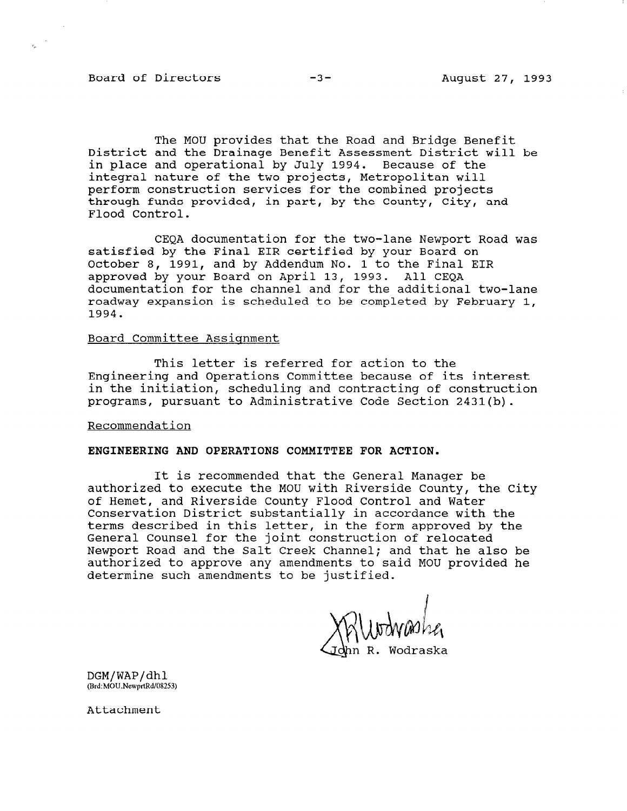Board of Directors -3- -3- August 27, 1993

The MOU provides that the Road and Bridge Benefit District and the Drainage Benefit Assessment District will be in place and operational by July 1994. Because of the integral nature of the two projects, Metropolitan will perform construction services for the combined projects through funds provided, in part, by the County, City, and Flood Control.

CEQA documentation for the two-lane Newport Road was satisfied by the Final EIR certified by your Board on October 8, 1991, and by Addendum No. 1 to the Final EIR approved by your Board on April 13, 1993. All CEQA documentation for the channel and for the additional two-lane roadway expansion is scheduled to be completed by February 1, 1994.

## Board Committee Assiqnment

This letter is referred for action to the Engineering and Operations Committee because of its interest in the initiation, scheduling and contracting of construction programs, pursuant to Administrative Code Section 2431(b).

Recommendation

## ENGINEERING AND OPERATIONS COMMITTEE FOR ACTION.

It is recommended that the General Manager be authorized to execute the MOU with Riverside County, the City of Hemet, and Riverside County Flood Control and Water Conservation District substantially in accordance with the terms described in this letter, in the form approved by the General Counsel for the joint construction of relocated Newport Road and the Salt Creek Channel; and that he also be authorized to approve any amendments to said MOU provided he determine such amendments to be justified.

n R. Wodraska

DGM/WAP/dh

Attachment